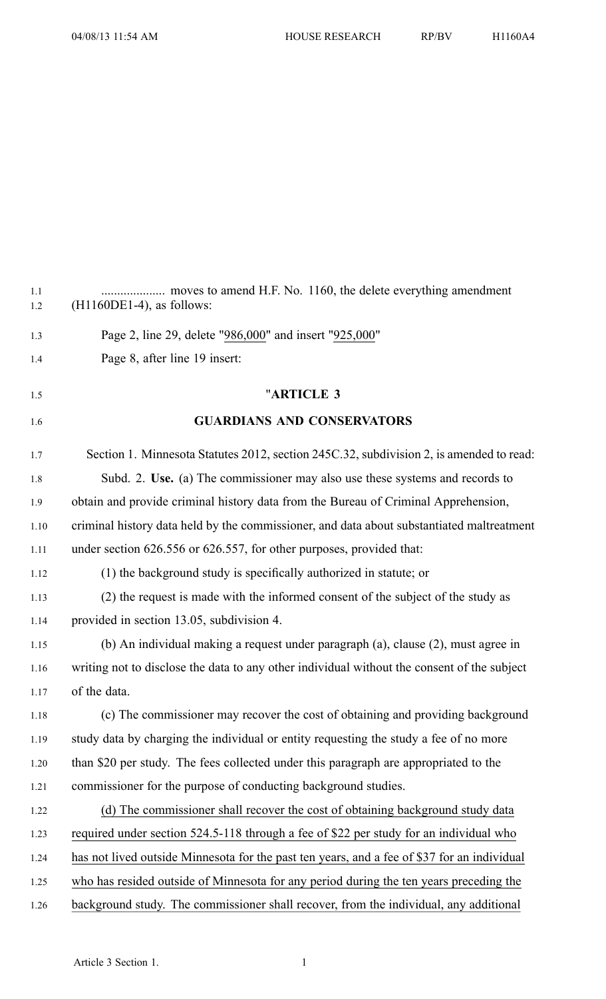| 1.1<br>1.2 | $(H1160DE1-4)$ , as follows:                                                                |
|------------|---------------------------------------------------------------------------------------------|
| 1.3        | Page 2, line 29, delete "986,000" and insert "925,000"                                      |
| 1.4        | Page 8, after line 19 insert:                                                               |
| 1.5        | "ARTICLE 3                                                                                  |
| 1.6        | <b>GUARDIANS AND CONSERVATORS</b>                                                           |
| 1.7        | Section 1. Minnesota Statutes 2012, section 245C.32, subdivision 2, is amended to read:     |
| 1.8        | Subd. 2. Use. (a) The commissioner may also use these systems and records to                |
| 1.9        | obtain and provide criminal history data from the Bureau of Criminal Apprehension,          |
| 1.10       | criminal history data held by the commissioner, and data about substantiated maltreatment   |
| 1.11       | under section 626.556 or 626.557, for other purposes, provided that:                        |
| 1.12       | (1) the background study is specifically authorized in statute; or                          |
| 1.13       | (2) the request is made with the informed consent of the subject of the study as            |
| 1.14       | provided in section 13.05, subdivision 4.                                                   |
| 1.15       | (b) An individual making a request under paragraph (a), clause (2), must agree in           |
| 1.16       | writing not to disclose the data to any other individual without the consent of the subject |
| 1.17       | of the data.                                                                                |
| 1.18       | (c) The commissioner may recover the cost of obtaining and providing background             |
| 1.19       | study data by charging the individual or entity requesting the study a fee of no more       |
| 1.20       | than \$20 per study. The fees collected under this paragraph are appropriated to the        |
| 1.21       | commissioner for the purpose of conducting background studies.                              |
| 1.22       | (d) The commissioner shall recover the cost of obtaining background study data              |
| 1.23       | required under section 524.5-118 through a fee of \$22 per study for an individual who      |
| 1.24       | has not lived outside Minnesota for the past ten years, and a fee of \$37 for an individual |
| 1.25       | who has resided outside of Minnesota for any period during the ten years preceding the      |
| 1.26       | background study. The commissioner shall recover, from the individual, any additional       |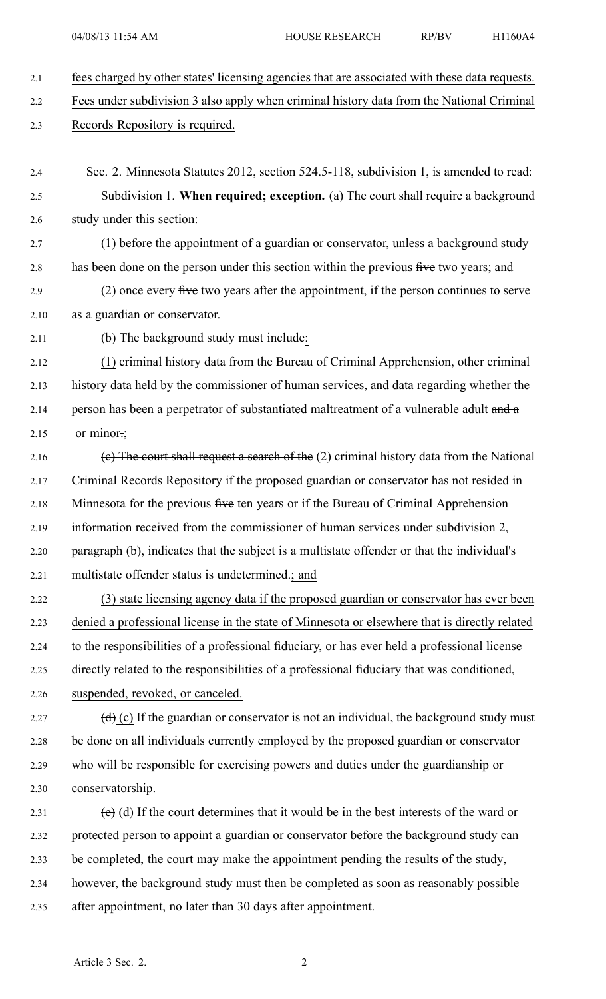- 2.1 fees charged by other states' licensing agencies that are associated with these data requests. 2.2 Fees under subdivision 3 also apply when criminal history data from the National Criminal 2.3 Records Repository is required.
- 2.4 Sec. 2. Minnesota Statutes 2012, section 524.5-118, subdivision 1, is amended to read: 2.5 Subdivision 1. **When required; exception.** (a) The court shall require <sup>a</sup> background 2.6 study under this section:
- 2.7 (1) before the appointment of <sup>a</sup> guardian or conservator, unless <sup>a</sup> background study 2.8 has been done on the person under this section within the previous five two years; and
- 2.9 (2) once every five two years after the appointment, if the person continues to serve 2.10 as <sup>a</sup> guardian or conservator.
- 2.11 (b) The background study must include:
- 2.12 (1) criminal history data from the Bureau of Criminal Apprehension, other criminal 2.13 history data held by the commissioner of human services, and data regarding whether the 2.14 person has been a perpetrator of substantiated maltreatment of a vulnerable adult and a 2.15 or minor.;
- 2.16 (e) The court shall request a search of the (2) criminal history data from the National 2.17 Criminal Records Repository if the proposed guardian or conservator has not resided in 2.18 Minnesota for the previous five ten years or if the Bureau of Criminal Apprehension 2.19 information received from the commissioner of human services under subdivision 2, 2.20 paragraph (b), indicates that the subject is <sup>a</sup> multistate offender or that the individual's 2.21 multistate offender status is undetermined.; and
- 2.22 (3) state licensing agency data if the proposed guardian or conservator has ever been 2.23 denied <sup>a</sup> professional license in the state of Minnesota or elsewhere that is directly related 2.24 to the responsibilities of <sup>a</sup> professional fiduciary, or has ever held <sup>a</sup> professional license 2.25 directly related to the responsibilities of <sup>a</sup> professional fiduciary that was conditioned,
- 2.26 suspended, revoked, or canceled.
- 2.27 (d) (c) If the guardian or conservator is not an individual, the background study must 2.28 be done on all individuals currently employed by the proposed guardian or conservator 2.29 who will be responsible for exercising powers and duties under the guardianship or 2.30 conservatorship.
- 2.31 (e) (d) If the court determines that it would be in the best interests of the ward or 2.32 protected person to appoint <sup>a</sup> guardian or conservator before the background study can 2.33 be completed, the court may make the appointment pending the results of the study, 2.34 however, the background study must then be completed as soon as reasonably possible 2.35 after appointment, no later than 30 days after appointment.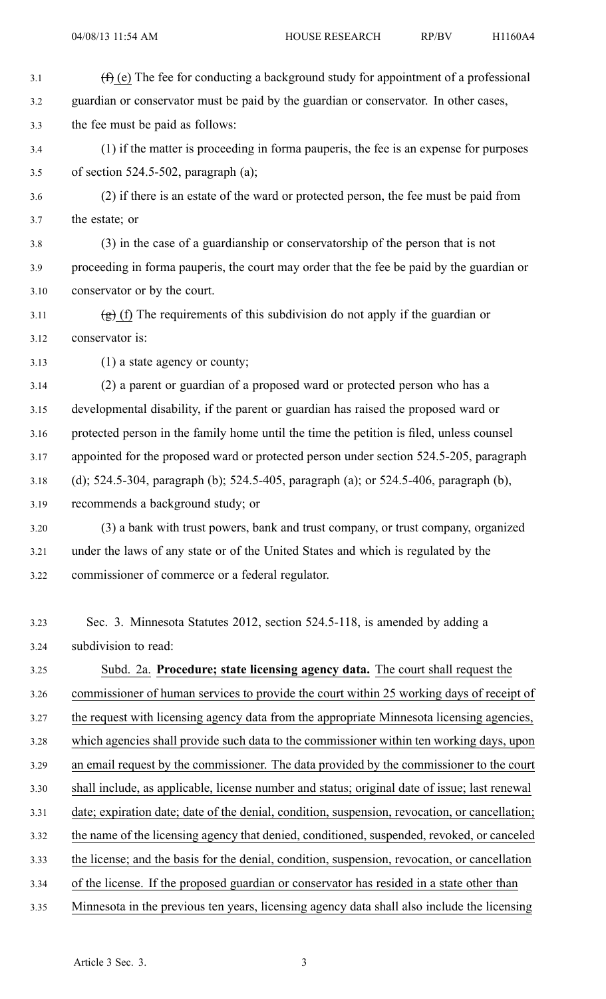3.1  $(f)$  (e) The fee for conducting a background study for appointment of a professional 3.2 guardian or conservator must be paid by the guardian or conservator. In other cases, 3.3 the fee must be paid as follows: 3.4 (1) if the matter is proceeding in forma pauperis, the fee is an expense for purposes 3.5 of section 524.5-502, paragraph (a); 3.6 (2) if there is an estate of the ward or protected person, the fee must be paid from 3.7 the estate; or 3.8 (3) in the case of <sup>a</sup> guardianship or conservatorship of the person that is not 3.9 proceeding in forma pauperis, the court may order that the fee be paid by the guardian or 3.10 conservator or by the court. 3.11 (g) (f) The requirements of this subdivision do not apply if the guardian or 3.12 conservator is: 3.13 (1) <sup>a</sup> state agency or county; 3.14 (2) <sup>a</sup> paren<sup>t</sup> or guardian of <sup>a</sup> proposed ward or protected person who has <sup>a</sup> 3.15 developmental disability, if the paren<sup>t</sup> or guardian has raised the proposed ward or 3.16 protected person in the family home until the time the petition is filed, unless counsel 3.17 appointed for the proposed ward or protected person under section 524.5-205, paragraph 3.18 (d); 524.5-304, paragraph (b); 524.5-405, paragraph (a); or 524.5-406, paragraph (b), 3.19 recommends <sup>a</sup> background study; or 3.20 (3) <sup>a</sup> bank with trust powers, bank and trust company, or trust company, organized 3.21 under the laws of any state or of the United States and which is regulated by the 3.22 commissioner of commerce or <sup>a</sup> federal regulator. 3.23 Sec. 3. Minnesota Statutes 2012, section 524.5-118, is amended by adding <sup>a</sup> 3.24 subdivision to read: 3.25 Subd. 2a. **Procedure; state licensing agency data.** The court shall reques<sup>t</sup> the 3.26 commissioner of human services to provide the court within 25 working days of receipt of 3.27 the reques<sup>t</sup> with licensing agency data from the appropriate Minnesota licensing agencies, 3.28 which agencies shall provide such data to the commissioner within ten working days, upon 3.29 an email reques<sup>t</sup> by the commissioner. The data provided by the commissioner to the court 3.30 shall include, as applicable, license number and status; original date of issue; last renewal 3.31 date; expiration date; date of the denial, condition, suspension, revocation, or cancellation; 3.32 the name of the licensing agency that denied, conditioned, suspended, revoked, or canceled 3.33 the license; and the basis for the denial, condition, suspension, revocation, or cancellation 3.34 of the license. If the proposed guardian or conservator has resided in <sup>a</sup> state other than 3.35 Minnesota in the previous ten years, licensing agency data shall also include the licensing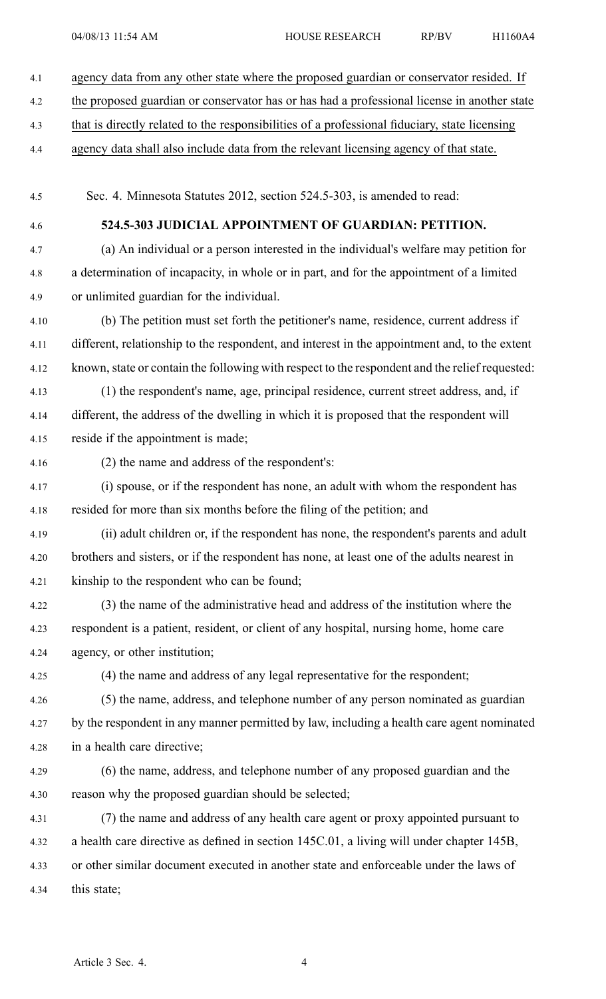4.1 agency data from any other state where the proposed guardian or conservator resided. If 4.2 the proposed guardian or conservator has or has had <sup>a</sup> professional license in another state 4.3 that is directly related to the responsibilities of <sup>a</sup> professional fiduciary, state licensing 4.4 agency data shall also include data from the relevant licensing agency of that state. 4.5 Sec. 4. Minnesota Statutes 2012, section 524.5-303, is amended to read: 4.6 **524.5-303 JUDICIAL APPOINTMENT OF GUARDIAN: PETITION.** 4.7 (a) An individual or <sup>a</sup> person interested in the individual's welfare may petition for 4.8 <sup>a</sup> determination of incapacity, in whole or in part, and for the appointment of <sup>a</sup> limited 4.9 or unlimited guardian for the individual. 4.10 (b) The petition must set forth the petitioner's name, residence, current address if 4.11 different, relationship to the respondent, and interest in the appointment and, to the extent 4.12 known, state or contain the following with respec<sup>t</sup> to the respondent and the relief requested: 4.13 (1) the respondent's name, age, principal residence, current street address, and, if 4.14 different, the address of the dwelling in which it is proposed that the respondent will 4.15 reside if the appointment is made; 4.16 (2) the name and address of the respondent's: 4.17 (i) spouse, or if the respondent has none, an adult with whom the respondent has 4.18 resided for more than six months before the filing of the petition; and 4.19 (ii) adult children or, if the respondent has none, the respondent's parents and adult 4.20 brothers and sisters, or if the respondent has none, at least one of the adults nearest in 4.21 kinship to the respondent who can be found; 4.22 (3) the name of the administrative head and address of the institution where the 4.23 respondent is <sup>a</sup> patient, resident, or client of any hospital, nursing home, home care 4.24 agency, or other institution; 4.25 (4) the name and address of any legal representative for the respondent; 4.26 (5) the name, address, and telephone number of any person nominated as guardian 4.27 by the respondent in any manner permitted by law, including <sup>a</sup> health care agen<sup>t</sup> nominated 4.28 in <sup>a</sup> health care directive; 4.29 (6) the name, address, and telephone number of any proposed guardian and the 4.30 reason why the proposed guardian should be selected; 4.31 (7) the name and address of any health care agen<sup>t</sup> or proxy appointed pursuan<sup>t</sup> to 4.32 <sup>a</sup> health care directive as defined in section 145C.01, <sup>a</sup> living will under chapter 145B, 4.33 or other similar document executed in another state and enforceable under the laws of 4.34 this state;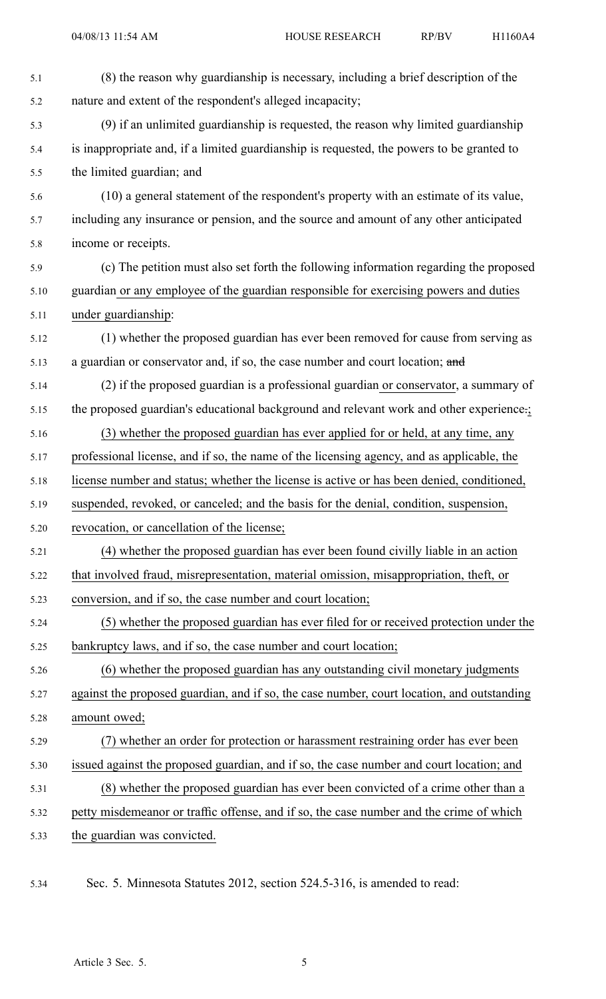| 5.1  | (8) the reason why guardianship is necessary, including a brief description of the         |
|------|--------------------------------------------------------------------------------------------|
| 5.2  | nature and extent of the respondent's alleged incapacity;                                  |
| 5.3  | (9) if an unlimited guardianship is requested, the reason why limited guardianship         |
| 5.4  | is inappropriate and, if a limited guardianship is requested, the powers to be granted to  |
| 5.5  | the limited guardian; and                                                                  |
| 5.6  | (10) a general statement of the respondent's property with an estimate of its value,       |
| 5.7  | including any insurance or pension, and the source and amount of any other anticipated     |
| 5.8  | income or receipts.                                                                        |
| 5.9  | (c) The petition must also set forth the following information regarding the proposed      |
| 5.10 | guardian or any employee of the guardian responsible for exercising powers and duties      |
| 5.11 | under guardianship:                                                                        |
| 5.12 | (1) whether the proposed guardian has ever been removed for cause from serving as          |
| 5.13 | a guardian or conservator and, if so, the case number and court location; and              |
| 5.14 | (2) if the proposed guardian is a professional guardian or conservator, a summary of       |
| 5.15 | the proposed guardian's educational background and relevant work and other experience.;    |
| 5.16 | (3) whether the proposed guardian has ever applied for or held, at any time, any           |
| 5.17 | professional license, and if so, the name of the licensing agency, and as applicable, the  |
| 5.18 | license number and status; whether the license is active or has been denied, conditioned,  |
| 5.19 | suspended, revoked, or canceled; and the basis for the denial, condition, suspension,      |
| 5.20 | revocation, or cancellation of the license;                                                |
| 5.21 | (4) whether the proposed guardian has ever been found civilly liable in an action          |
| 5.22 | that involved fraud, misrepresentation, material omission, misappropriation, theft, or     |
| 5.23 | conversion, and if so, the case number and court location;                                 |
| 5.24 | (5) whether the proposed guardian has ever filed for or received protection under the      |
| 5.25 | bankruptcy laws, and if so, the case number and court location;                            |
| 5.26 | (6) whether the proposed guardian has any outstanding civil monetary judgments             |
| 5.27 | against the proposed guardian, and if so, the case number, court location, and outstanding |
| 5.28 | amount owed;                                                                               |
| 5.29 | (7) whether an order for protection or harassment restraining order has ever been          |
| 5.30 | issued against the proposed guardian, and if so, the case number and court location; and   |
| 5.31 | (8) whether the proposed guardian has ever been convicted of a crime other than a          |
| 5.32 | petty misdemeanor or traffic offense, and if so, the case number and the crime of which    |
| 5.33 | the guardian was convicted.                                                                |
|      |                                                                                            |

5.34 Sec. 5. Minnesota Statutes 2012, section 524.5-316, is amended to read: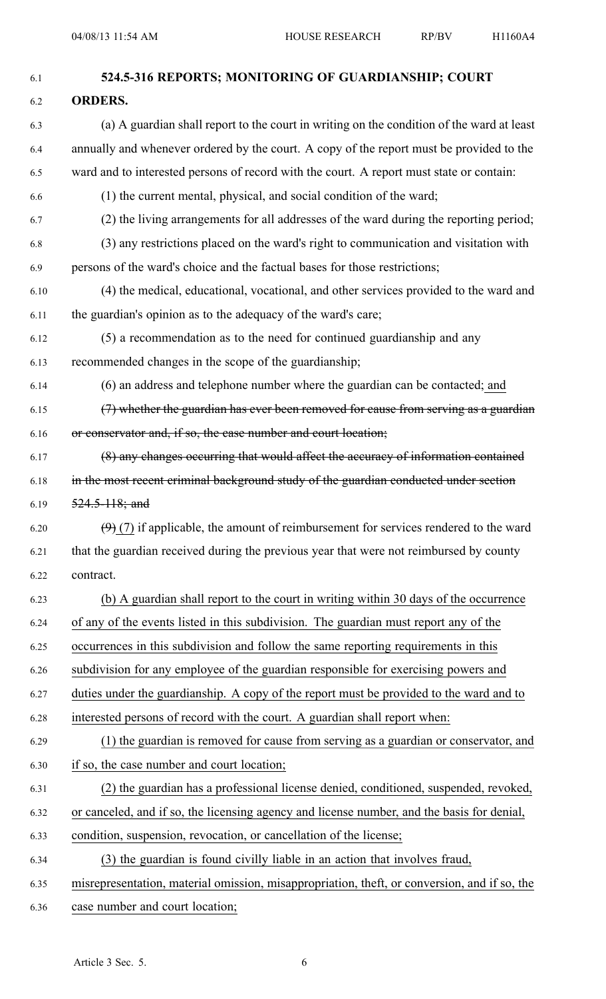| 6.1  | 524.5-316 REPORTS; MONITORING OF GUARDIANSHIP; COURT                                         |
|------|----------------------------------------------------------------------------------------------|
| 6.2  | <b>ORDERS.</b>                                                                               |
| 6.3  | (a) A guardian shall report to the court in writing on the condition of the ward at least    |
| 6.4  | annually and whenever ordered by the court. A copy of the report must be provided to the     |
| 6.5  | ward and to interested persons of record with the court. A report must state or contain:     |
| 6.6  | (1) the current mental, physical, and social condition of the ward;                          |
| 6.7  | (2) the living arrangements for all addresses of the ward during the reporting period;       |
| 6.8  | (3) any restrictions placed on the ward's right to communication and visitation with         |
| 6.9  | persons of the ward's choice and the factual bases for those restrictions;                   |
| 6.10 | (4) the medical, educational, vocational, and other services provided to the ward and        |
| 6.11 | the guardian's opinion as to the adequacy of the ward's care;                                |
| 6.12 | (5) a recommendation as to the need for continued guardianship and any                       |
| 6.13 | recommended changes in the scope of the guardianship;                                        |
| 6.14 | (6) an address and telephone number where the guardian can be contacted; and                 |
| 6.15 | (7) whether the guardian has ever been removed for cause from serving as a guardian          |
| 6.16 | or conservator and, if so, the case number and court location;                               |
| 6.17 | (8) any changes occurring that would affect the accuracy of information contained            |
| 6.18 | in the most recent criminal background study of the guardian conducted under section         |
| 6.19 | $524.5 - 118$ ; and                                                                          |
| 6.20 | $(9)$ (7) if applicable, the amount of reimbursement for services rendered to the ward       |
| 6.21 | that the guardian received during the previous year that were not reimbursed by county       |
| 6.22 | contract.                                                                                    |
| 6.23 | (b) A guardian shall report to the court in writing within 30 days of the occurrence         |
| 6.24 | of any of the events listed in this subdivision. The guardian must report any of the         |
| 6.25 | occurrences in this subdivision and follow the same reporting requirements in this           |
| 6.26 | subdivision for any employee of the guardian responsible for exercising powers and           |
| 6.27 | duties under the guardianship. A copy of the report must be provided to the ward and to      |
| 6.28 | interested persons of record with the court. A guardian shall report when:                   |
| 6.29 | (1) the guardian is removed for cause from serving as a guardian or conservator, and         |
| 6.30 | if so, the case number and court location;                                                   |
| 6.31 | (2) the guardian has a professional license denied, conditioned, suspended, revoked,         |
| 6.32 | or canceled, and if so, the licensing agency and license number, and the basis for denial,   |
| 6.33 | condition, suspension, revocation, or cancellation of the license;                           |
| 6.34 | (3) the guardian is found civilly liable in an action that involves fraud,                   |
| 6.35 | misrepresentation, material omission, misappropriation, theft, or conversion, and if so, the |
| 6.36 | case number and court location;                                                              |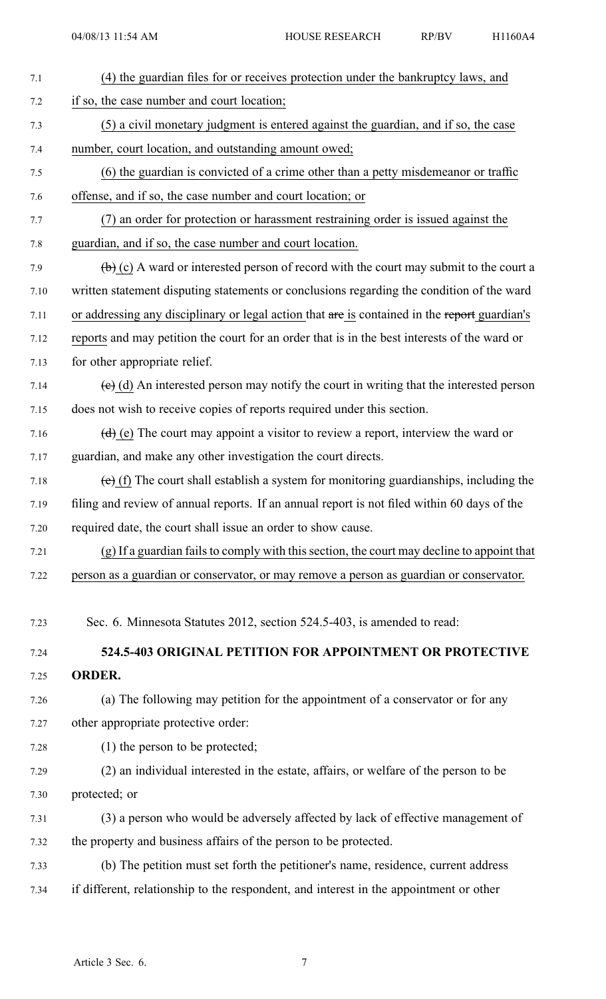| 7.1  | (4) the guardian files for or receives protection under the bankruptcy laws, and                              |
|------|---------------------------------------------------------------------------------------------------------------|
| 7.2  | if so, the case number and court location;                                                                    |
| 7.3  | (5) a civil monetary judgment is entered against the guardian, and if so, the case                            |
| 7.4  | number, court location, and outstanding amount owed;                                                          |
| 7.5  | (6) the guardian is convicted of a crime other than a petty misdemeanor or traffic                            |
| 7.6  | offense, and if so, the case number and court location; or                                                    |
| 7.7  | (7) an order for protection or harassment restraining order is issued against the                             |
| 7.8  | guardian, and if so, the case number and court location.                                                      |
| 7.9  | $\left(\frac{b}{c}\right)$ (c) A ward or interested person of record with the court may submit to the court a |
| 7.10 | written statement disputing statements or conclusions regarding the condition of the ward                     |
| 7.11 | or addressing any disciplinary or legal action that are is contained in the report guardian's                 |
| 7.12 | reports and may petition the court for an order that is in the best interests of the ward or                  |
| 7.13 | for other appropriate relief.                                                                                 |
| 7.14 | $(e)$ (d) An interested person may notify the court in writing that the interested person                     |
| 7.15 | does not wish to receive copies of reports required under this section.                                       |
| 7.16 | $(d)$ (e) The court may appoint a visitor to review a report, interview the ward or                           |
| 7.17 | guardian, and make any other investigation the court directs.                                                 |
| 7.18 | $(e)$ (f) The court shall establish a system for monitoring guardianships, including the                      |
| 7.19 | filing and review of annual reports. If an annual report is not filed within 60 days of the                   |
| 7.20 | required date, the court shall issue an order to show cause.                                                  |
| 7.21 | (g) If a guardian fails to comply with this section, the court may decline to appoint that                    |
| 7.22 | person as a guardian or conservator, or may remove a person as guardian or conservator.                       |
| 7.23 | Sec. 6. Minnesota Statutes 2012, section 524.5-403, is amended to read:                                       |
|      |                                                                                                               |
| 7.24 | 524.5-403 ORIGINAL PETITION FOR APPOINTMENT OR PROTECTIVE                                                     |
| 7.25 | <b>ORDER.</b>                                                                                                 |
| 7.26 | (a) The following may petition for the appointment of a conservator or for any                                |
| 7.27 | other appropriate protective order:                                                                           |
| 7.28 | $(1)$ the person to be protected;                                                                             |
| 7.29 | (2) an individual interested in the estate, affairs, or welfare of the person to be                           |
| 7.30 | protected; or                                                                                                 |
| 7.31 | (3) a person who would be adversely affected by lack of effective management of                               |
| 7.32 | the property and business affairs of the person to be protected.                                              |
| 7.33 | (b) The petition must set forth the petitioner's name, residence, current address                             |
| 7.34 | if different, relationship to the respondent, and interest in the appointment or other                        |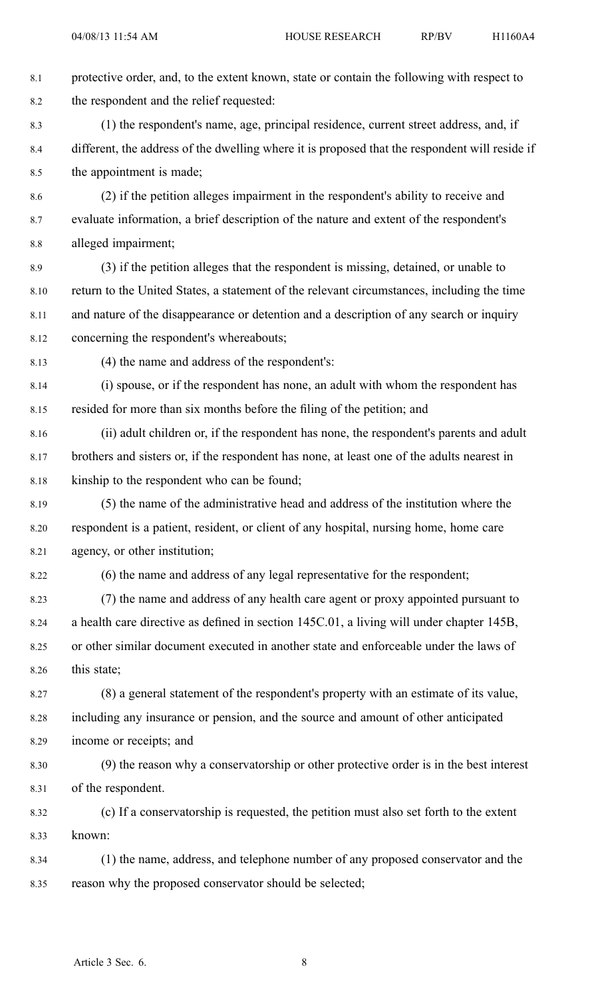8.1 protective order, and, to the extent known, state or contain the following with respec<sup>t</sup> to 8.2 the respondent and the relief requested: 8.3 (1) the respondent's name, age, principal residence, current street address, and, if 8.4 different, the address of the dwelling where it is proposed that the respondent will reside if 8.5 the appointment is made; 8.6 (2) if the petition alleges impairment in the respondent's ability to receive and 8.7 evaluate information, <sup>a</sup> brief description of the nature and extent of the respondent's 8.8 alleged impairment; 8.9 (3) if the petition alleges that the respondent is missing, detained, or unable to 8.10 return to the United States, <sup>a</sup> statement of the relevant circumstances, including the time 8.11 and nature of the disappearance or detention and <sup>a</sup> description of any search or inquiry 8.12 concerning the respondent's whereabouts; 8.13 (4) the name and address of the respondent's: 8.14 (i) spouse, or if the respondent has none, an adult with whom the respondent has 8.15 resided for more than six months before the filing of the petition; and 8.16 (ii) adult children or, if the respondent has none, the respondent's parents and adult 8.17 brothers and sisters or, if the respondent has none, at least one of the adults nearest in 8.18 kinship to the respondent who can be found; 8.19 (5) the name of the administrative head and address of the institution where the 8.20 respondent is <sup>a</sup> patient, resident, or client of any hospital, nursing home, home care 8.21 agency, or other institution; 8.22 (6) the name and address of any legal representative for the respondent; 8.23 (7) the name and address of any health care agen<sup>t</sup> or proxy appointed pursuan<sup>t</sup> to 8.24 <sup>a</sup> health care directive as defined in section 145C.01, <sup>a</sup> living will under chapter 145B, 8.25 or other similar document executed in another state and enforceable under the laws of 8.26 this state; 8.27 (8) <sup>a</sup> general statement of the respondent's property with an estimate of its value, 8.28 including any insurance or pension, and the source and amount of other anticipated 8.29 income or receipts; and 8.30 (9) the reason why <sup>a</sup> conservatorship or other protective order is in the best interest 8.31 of the respondent. 8.32 (c) If <sup>a</sup> conservatorship is requested, the petition must also set forth to the extent 8.33 known: 8.34 (1) the name, address, and telephone number of any proposed conservator and the 8.35 reason why the proposed conservator should be selected;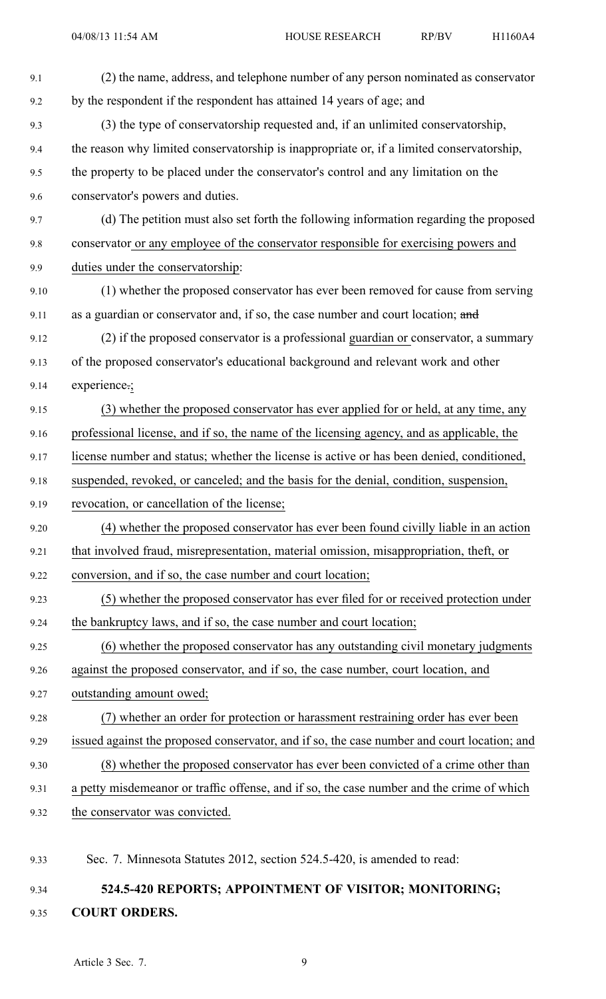| 9.1  | (2) the name, address, and telephone number of any person nominated as conservator          |
|------|---------------------------------------------------------------------------------------------|
| 9.2  | by the respondent if the respondent has attained 14 years of age; and                       |
| 9.3  | (3) the type of conservatorship requested and, if an unlimited conservatorship,             |
| 9.4  | the reason why limited conservatorship is inappropriate or, if a limited conservatorship,   |
| 9.5  | the property to be placed under the conservator's control and any limitation on the         |
| 9.6  | conservator's powers and duties.                                                            |
| 9.7  | (d) The petition must also set forth the following information regarding the proposed       |
| 9.8  | conservator or any employee of the conservator responsible for exercising powers and        |
| 9.9  | duties under the conservatorship:                                                           |
| 9.10 | (1) whether the proposed conservator has ever been removed for cause from serving           |
| 9.11 | as a guardian or conservator and, if so, the case number and court location; and            |
| 9.12 | (2) if the proposed conservator is a professional guardian or conservator, a summary        |
| 9.13 | of the proposed conservator's educational background and relevant work and other            |
| 9.14 | experience:;                                                                                |
| 9.15 | (3) whether the proposed conservator has ever applied for or held, at any time, any         |
| 9.16 | professional license, and if so, the name of the licensing agency, and as applicable, the   |
| 9.17 | license number and status; whether the license is active or has been denied, conditioned,   |
| 9.18 | suspended, revoked, or canceled; and the basis for the denial, condition, suspension,       |
| 9.19 | revocation, or cancellation of the license;                                                 |
| 9.20 | (4) whether the proposed conservator has ever been found civilly liable in an action        |
| 9.21 | that involved fraud, misrepresentation, material omission, misappropriation, theft, or      |
| 9.22 | conversion, and if so, the case number and court location;                                  |
| 9.23 | (5) whether the proposed conservator has ever filed for or received protection under        |
| 9.24 | the bankruptcy laws, and if so, the case number and court location;                         |
| 9.25 | (6) whether the proposed conservator has any outstanding civil monetary judgments           |
| 9.26 | against the proposed conservator, and if so, the case number, court location, and           |
| 9.27 | outstanding amount owed;                                                                    |
| 9.28 | (7) whether an order for protection or harassment restraining order has ever been           |
| 9.29 | issued against the proposed conservator, and if so, the case number and court location; and |
| 9.30 | (8) whether the proposed conservator has ever been convicted of a crime other than          |
| 9.31 | a petty misdemeanor or traffic offense, and if so, the case number and the crime of which   |
| 9.32 | the conservator was convicted.                                                              |
| 9.33 | Sec. 7. Minnesota Statutes 2012, section 524.5-420, is amended to read:                     |

## 9.34 **524.5-420 REPORTS; APPOINTMENT OF VISITOR; MONITORING;** 9.35 **COURT ORDERS.**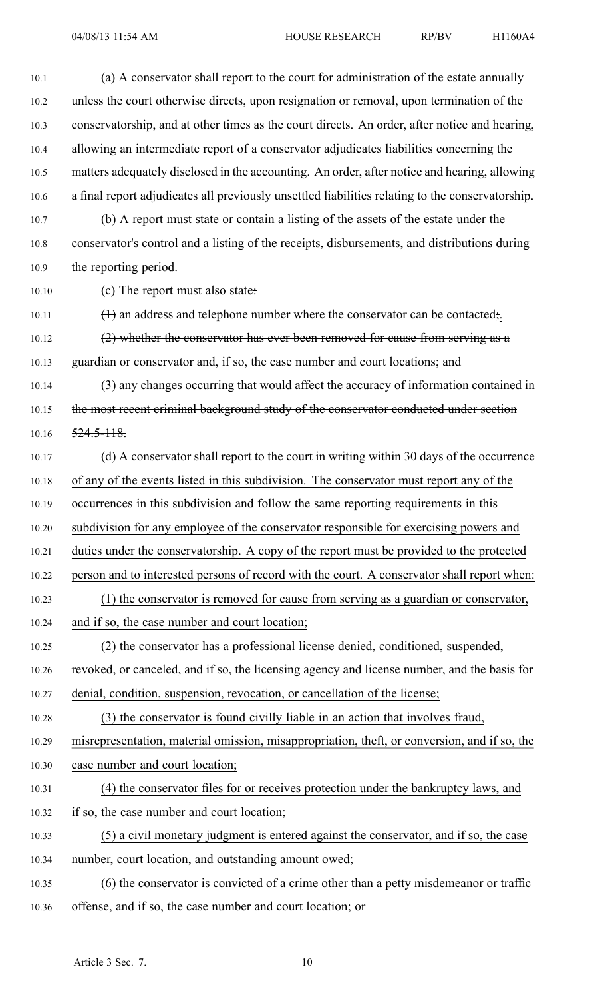10.1 (a) A conservator shall repor<sup>t</sup> to the court for administration of the estate annually 10.2 unless the court otherwise directs, upon resignation or removal, upon termination of the 10.3 conservatorship, and at other times as the court directs. An order, after notice and hearing, 10.4 allowing an intermediate repor<sup>t</sup> of <sup>a</sup> conservator adjudicates liabilities concerning the 10.5 matters adequately disclosed in the accounting. An order, after notice and hearing, allowing 10.6 <sup>a</sup> final repor<sup>t</sup> adjudicates all previously unsettled liabilities relating to the conservatorship. 10.7 (b) A repor<sup>t</sup> must state or contain <sup>a</sup> listing of the assets of the estate under the 10.8 conservator's control and <sup>a</sup> listing of the receipts, disbursements, and distributions during 10.9 the reporting period. 10.10 (c) The repor<sup>t</sup> must also state: 10.11 (1) an address and telephone number where the conservator can be contacted; 10.12 (2) whether the conservator has ever been removed for cause from serving as a 10.13 guardian or conservator and, if so, the case number and court locations; and 10.14 (3) any changes occurring that would affect the accuracy of information contained in 10.15 the most recent criminal background study of the conservator conducted under section 10.16 524.5-118. 10.17 (d) A conservator shall repor<sup>t</sup> to the court in writing within 30 days of the occurrence 10.18 of any of the events listed in this subdivision. The conservator must repor<sup>t</sup> any of the 10.19 occurrences in this subdivision and follow the same reporting requirements in this 10.20 subdivision for any employee of the conservator responsible for exercising powers and 10.21 duties under the conservatorship. A copy of the repor<sup>t</sup> must be provided to the protected 10.22 person and to interested persons of record with the court. A conservator shall repor<sup>t</sup> when: 10.23 (1) the conservator is removed for cause from serving as <sup>a</sup> guardian or conservator, 10.24 and if so, the case number and court location; 10.25 (2) the conservator has <sup>a</sup> professional license denied, conditioned, suspended, 10.26 revoked, or canceled, and if so, the licensing agency and license number, and the basis for 10.27 denial, condition, suspension, revocation, or cancellation of the license; 10.28 (3) the conservator is found civilly liable in an action that involves fraud, 10.29 misrepresentation, material omission, misappropriation, theft, or conversion, and if so, the 10.30 case number and court location; 10.31 (4) the conservator files for or receives protection under the bankruptcy laws, and 10.32 if so, the case number and court location; 10.33 (5) <sup>a</sup> civil monetary judgment is entered against the conservator, and if so, the case 10.34 number, court location, and outstanding amount owed; 10.35 (6) the conservator is convicted of <sup>a</sup> crime other than <sup>a</sup> petty misdemeanor or traffic 10.36 offense, and if so, the case number and court location; or